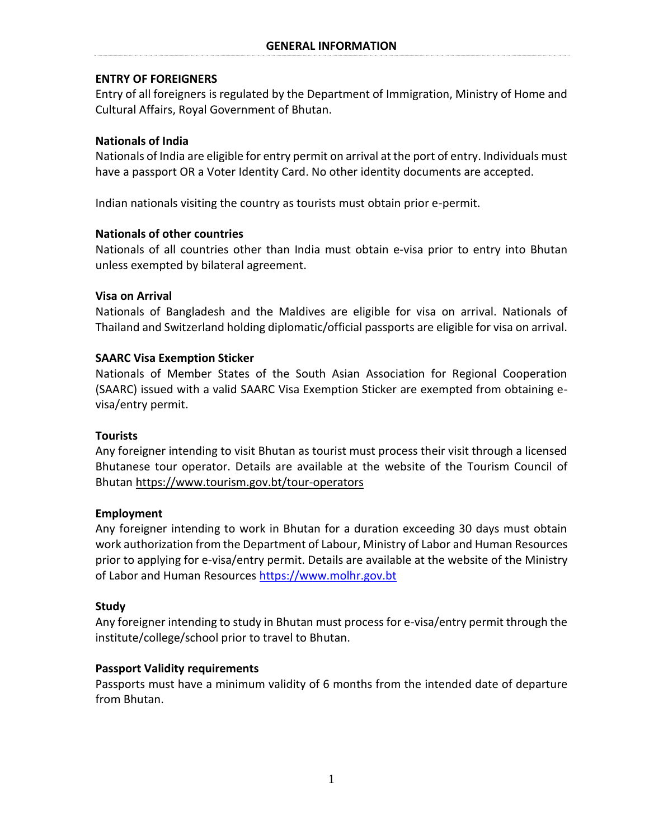# **ENTRY OF FOREIGNERS**

Entry of all foreigners is regulated by the Department of Immigration, Ministry of Home and Cultural Affairs, Royal Government of Bhutan.

# **Nationals of India**

Nationals of India are eligible for entry permit on arrival at the port of entry. Individuals must have a passport OR a Voter Identity Card. No other identity documents are accepted.

Indian nationals visiting the country as tourists must obtain prior e-permit.

# **Nationals of other countries**

Nationals of all countries other than India must obtain e-visa prior to entry into Bhutan unless exempted by bilateral agreement.

# **Visa on Arrival**

Nationals of Bangladesh and the Maldives are eligible for visa on arrival. Nationals of Thailand and Switzerland holding diplomatic/official passports are eligible for visa on arrival.

# **SAARC Visa Exemption Sticker**

Nationals of Member States of the South Asian Association for Regional Cooperation (SAARC) issued with a valid SAARC Visa Exemption Sticker are exempted from obtaining evisa/entry permit.

# **Tourists**

Any foreigner intending to visit Bhutan as tourist must process their visit through a licensed Bhutanese tour operator. Details are available at the website of the Tourism Council of Bhutan<https://www.tourism.gov.bt/tour-operators>

# **Employment**

Any foreigner intending to work in Bhutan for a duration exceeding 30 days must obtain work authorization from the Department of Labour, Ministry of Labor and Human Resources prior to applying for e-visa/entry permit. Details are available at the website of the Ministry of Labor and Human Resources [https://www.molhr.gov.bt](https://www.molhr.gov.bt/)

# **Study**

Any foreigner intending to study in Bhutan must process for e-visa/entry permit through the institute/college/school prior to travel to Bhutan.

# **Passport Validity requirements**

Passports must have a minimum validity of 6 months from the intended date of departure from Bhutan.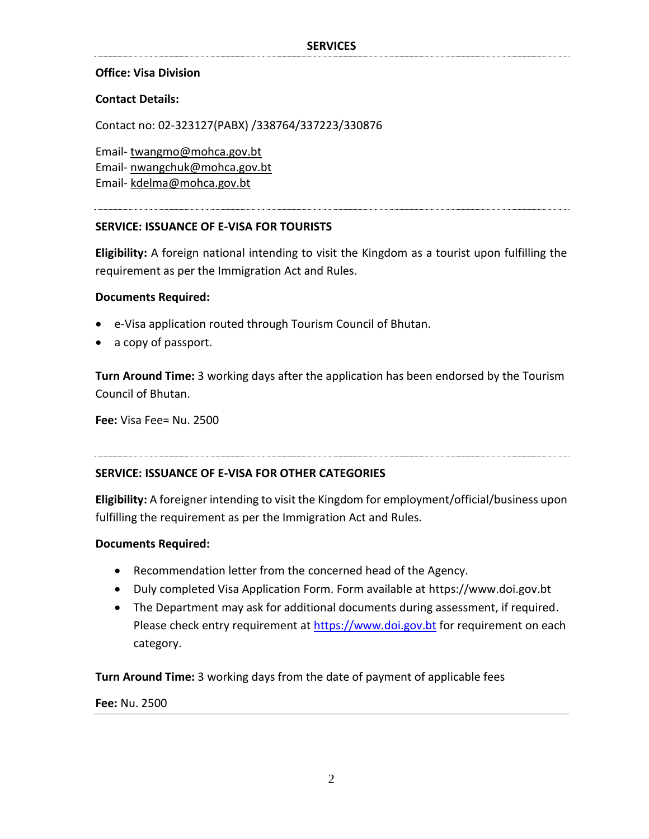## **Office: Visa Division**

### **Contact Details:**

Contact no: 02-323127(PABX) /338764/337223/330876

Email- [twangmo@mohca.gov.bt](mailto:twangmo@mohca.gov.bt)  Email- [nwangchuk@mohca.gov.bt](mailto:nwangchuk@mohca.gov.bt) Email- [kdelma@mohca.gov.bt](mailto:kdelma@mohca.gov.bt)

### **SERVICE: ISSUANCE OF E-VISA FOR TOURISTS**

**Eligibility:** A foreign national intending to visit the Kingdom as a tourist upon fulfilling the requirement as per the Immigration Act and Rules.

#### **Documents Required:**

- e-Visa application routed through Tourism Council of Bhutan.
- a copy of passport.

**Turn Around Time:** 3 working days after the application has been endorsed by the Tourism Council of Bhutan.

**Fee:** Visa Fee= Nu. 2500

#### **SERVICE: ISSUANCE OF E-VISA FOR OTHER CATEGORIES**

**Eligibility:** A foreigner intending to visit the Kingdom for employment/official/business upon fulfilling the requirement as per the Immigration Act and Rules.

#### **Documents Required:**

- Recommendation letter from the concerned head of the Agency.
- Duly completed Visa Application Form. Form available at https://www.doi.gov.bt
- The Department may ask for additional documents during assessment, if required. Please check entry requirement at [https://www.doi.gov.bt](https://www.doi.gov.bt/) for requirement on each category.

**Turn Around Time:** 3 working days from the date of payment of applicable fees

**Fee:** Nu. 2500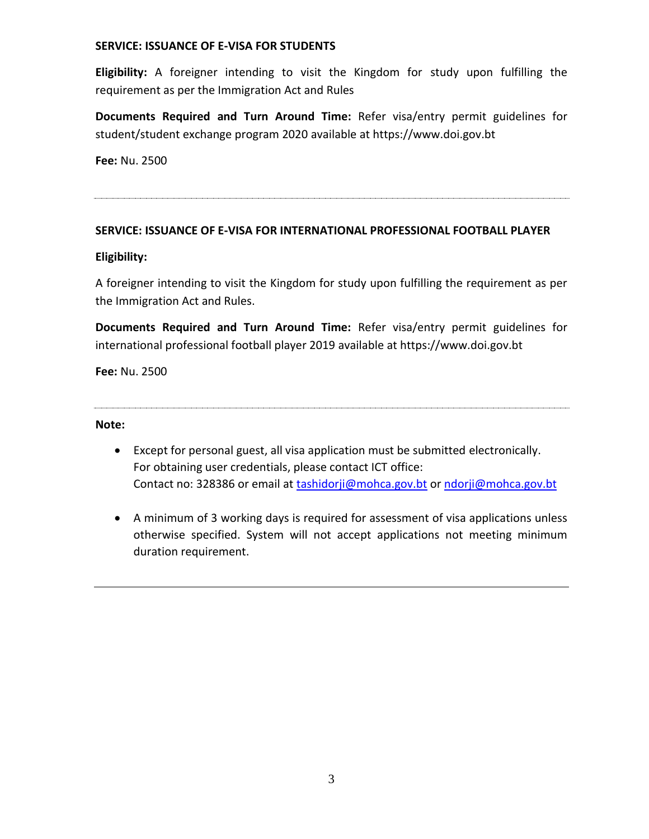## **SERVICE: ISSUANCE OF E-VISA FOR STUDENTS**

**Eligibility:** A foreigner intending to visit the Kingdom for study upon fulfilling the requirement as per the Immigration Act and Rules

**Documents Required and Turn Around Time:** Refer visa/entry permit guidelines for student/student exchange program 2020 available at https://www.doi.gov.bt

**Fee:** Nu. 2500

# **SERVICE: ISSUANCE OF E-VISA FOR INTERNATIONAL PROFESSIONAL FOOTBALL PLAYER**

# **Eligibility:**

A foreigner intending to visit the Kingdom for study upon fulfilling the requirement as per the Immigration Act and Rules.

**Documents Required and Turn Around Time:** Refer visa/entry permit guidelines for international professional football player 2019 available at https://www.doi.gov.bt

**Fee:** Nu. 2500

#### **Note:**

- Except for personal guest, all visa application must be submitted electronically. For obtaining user credentials, please contact ICT office: Contact no: 328386 or email at [tashidorji@mohca.gov.bt](mailto:tashidorji@mohca.gov.bt) or [ndorji@mohca.gov.bt](mailto:ndorji@mohca.gov.bt)
- A minimum of 3 working days is required for assessment of visa applications unless otherwise specified. System will not accept applications not meeting minimum duration requirement.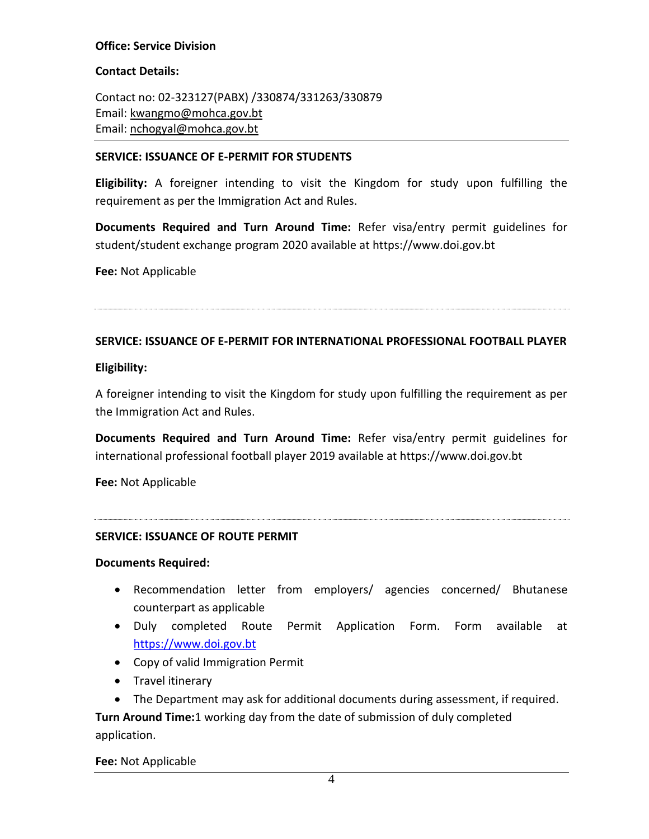# **Office: Service Division**

## **Contact Details:**

Contact no: 02-323127(PABX) /330874/331263/330879 Email: [kwangmo@mohca.gov.bt](mailto:kwangmo@mohca.gov.bt) Email: [nchogyal@mohca.gov.bt](mailto:nchogyal@mohca.gov.bt)

## **SERVICE: ISSUANCE OF E-PERMIT FOR STUDENTS**

**Eligibility:** A foreigner intending to visit the Kingdom for study upon fulfilling the requirement as per the Immigration Act and Rules.

**Documents Required and Turn Around Time:** Refer visa/entry permit guidelines for student/student exchange program 2020 available at https://www.doi.gov.bt

**Fee:** Not Applicable

## **SERVICE: ISSUANCE OF E-PERMIT FOR INTERNATIONAL PROFESSIONAL FOOTBALL PLAYER**

### **Eligibility:**

A foreigner intending to visit the Kingdom for study upon fulfilling the requirement as per the Immigration Act and Rules.

**Documents Required and Turn Around Time:** Refer visa/entry permit guidelines for international professional football player 2019 available at https://www.doi.gov.bt

**Fee:** Not Applicable

## **SERVICE: ISSUANCE OF ROUTE PERMIT**

#### **Documents Required:**

- Recommendation letter from employers/ agencies concerned/ Bhutanese counterpart as applicable
- Duly completed Route Permit Application Form. Form available at [https://www.doi.gov.bt](https://www.doi.gov.bt/)
- Copy of valid Immigration Permit
- Travel itinerary
- The Department may ask for additional documents during assessment, if required.

**Turn Around Time:**1 working day from the date of submission of duly completed application.

## **Fee:** Not Applicable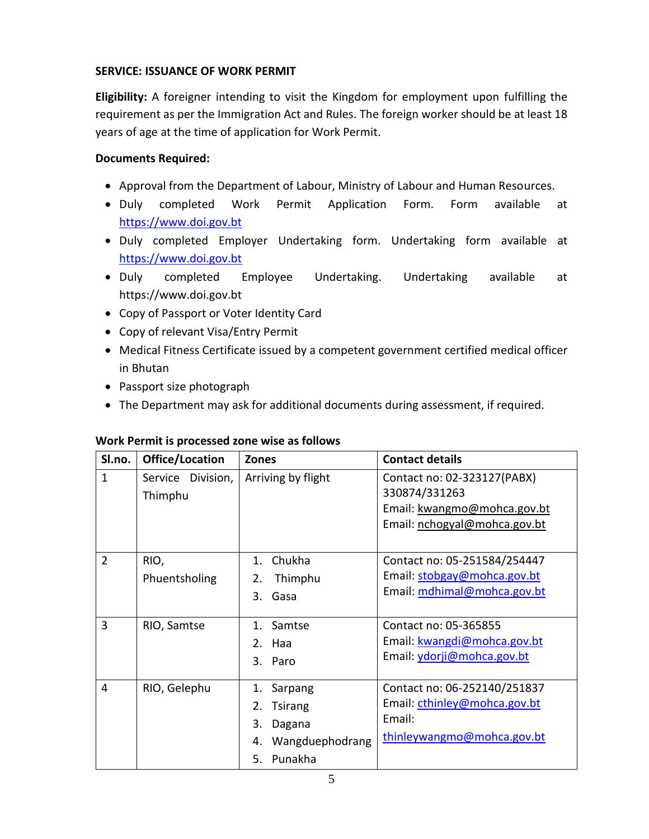## **SERVICE: ISSUANCE OF WORK PERMIT**

**Eligibility:** A foreigner intending to visit the Kingdom for employment upon fulfilling the requirement as per the Immigration Act and Rules. The foreign worker should be at least 18 years of age at the time of application for Work Permit.

## **Documents Required:**

- Approval from the Department of Labour, Ministry of Labour and Human Resources.
- Duly completed Work Permit Application Form. Form available at [https://www.doi.gov.bt](https://www.doi.gov.bt/)
- Duly completed Employer Undertaking form. Undertaking form available at [https://www.doi.gov.bt](https://www.doi.gov.bt/)
- Duly completed Employee Undertaking. Undertaking available at https://www.doi.gov.bt
- Copy of Passport or Voter Identity Card
- Copy of relevant Visa/Entry Permit
- Medical Fitness Certificate issued by a competent government certified medical officer in Bhutan
- Passport size photograph
- The Department may ask for additional documents during assessment, if required.

| Sl.no.              | Office/Location                      | <b>Zones</b>                                                                                                               | <b>Contact details</b>                                                                                                                                                           |
|---------------------|--------------------------------------|----------------------------------------------------------------------------------------------------------------------------|----------------------------------------------------------------------------------------------------------------------------------------------------------------------------------|
| $\mathbf{1}$        | Service Division,<br>Thimphu         | Arriving by flight                                                                                                         | Contact no: 02-323127(PABX)<br>330874/331263<br>Email: kwangmo@mohca.gov.bt<br>Email: nchogyal@mohca.gov.bt                                                                      |
| $\overline{2}$<br>3 | RIO,<br>Phuentsholing<br>RIO, Samtse | Chukha<br>$1_{-}$<br>Thimphu<br>2.<br>Gasa<br>3 <sub>1</sub><br>Samtse<br>$\mathbf{1}$<br>Haa<br>2 <sub>1</sub><br>3. Paro | Contact no: 05-251584/254447<br>Email: stobgay@mohca.gov.bt<br>Email: mdhimal@mohca.gov.bt<br>Contact no: 05-365855<br>Email: kwangdi@mohca.gov.bt<br>Email: ydorji@mohca.gov.bt |
| 4                   | RIO, Gelephu                         | 1.<br>Sarpang<br><b>Tsirang</b><br>2.<br>3.<br>Dagana<br>Wangduephodrang<br>4.<br>Punakha<br>5.                            | Contact no: 06-252140/251837<br>Email: cthinley@mohca.gov.bt<br>Email:<br>thinleywangmo@mohca.gov.bt                                                                             |

## **Work Permit is processed zone wise as follows**